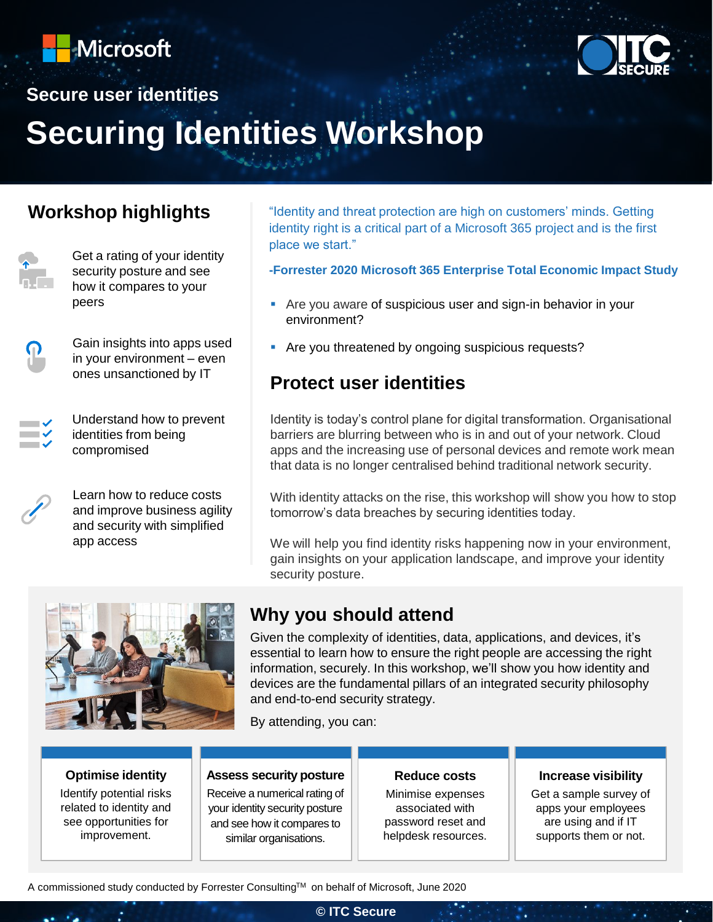



# **Secure user identities Securing Identities Workshop**

### **Workshop highlights**



Get a rating of your identity security posture and see how it compares to your peers

Gain insights into apps used in your environment – even ones unsanctioned by IT

Understand how to prevent identities from being compromised



 $\blacksquare$ 

Learn how to reduce costs and improve business agility and security with simplified app access

"Identity and threat protection are high on customers' minds. Getting identity right is a critical part of a Microsoft 365 project and is the first place we start."

**-Forrester 2020 Microsoft 365 Enterprise Total Economic Impact Study**

- Are you aware of suspicious user and sign-in behavior in your environment?
- **EXECT** Are you threatened by ongoing suspicious requests?

### **Protect user identities**

Identity is today's control plane for digital transformation. Organisational barriers are blurring between who is in and out of your network. Cloud apps and the increasing use of personal devices and remote work mean that data is no longer centralised behind traditional network security.

With identity attacks on the rise, this workshop will show you how to stop tomorrow's data breaches by securing identities today.

We will help you find identity risks happening now in your environment, gain insights on your application landscape, and improve your identity security posture.



### **Why you should attend**

Given the complexity of identities, data, applications, and devices, it's essential to learn how to ensure the right people are accessing the right information, securely. In this workshop, we'll show you how identity and devices are the fundamental pillars of an integrated security philosophy and end-to-end security strategy.

By attending, you can:

### **Optimise identity**

Identify potential risks related to identity and see opportunities for improvement.

#### **Assess security posture**

Receive a numerical rating of your identity security posture and see how it compares to similar organisations.

#### **Reduce costs**

Minimise expenses associated with password reset and helpdesk resources.

#### **Increase visibility**

Get a sample survey of apps your employees are using and if IT supports them or not.

A commissioned study conducted by Forrester ConsultingTM on behalf of Microsoft, June 2020